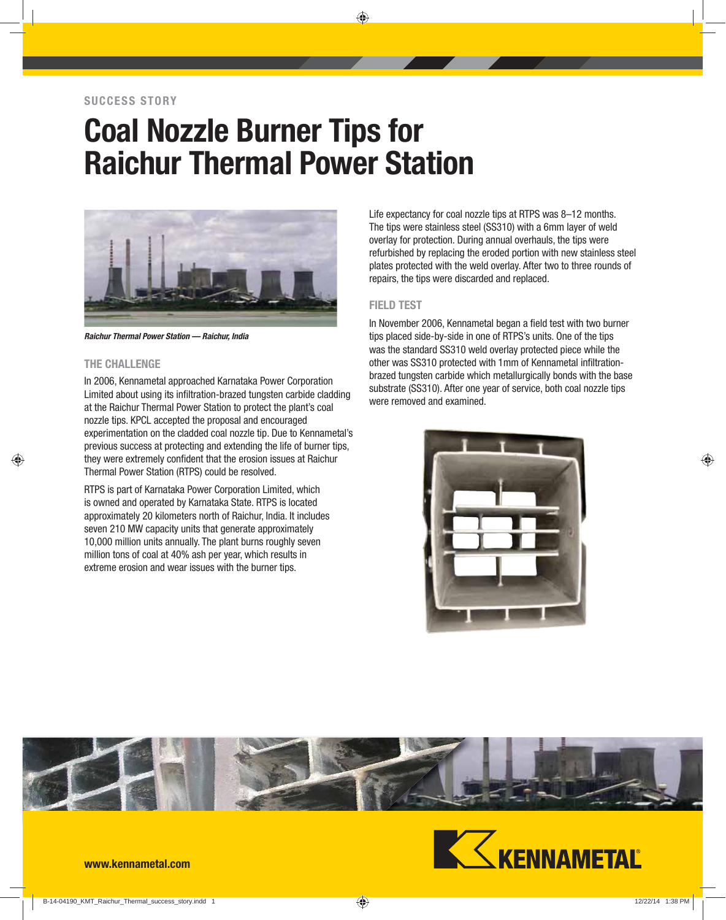### **SUCCESS STORY**

# **Coal Nozzle Burner Tips for Raichur Thermal Power Station**



*Raichur Thermal Power Station — Raichur, India*

### **THE CHALLENGE**

In 2006, Kennametal approached Karnataka Power Corporation Limited about using its infiltration-brazed tungsten carbide cladding at the Raichur Thermal Power Station to protect the plant's coal nozzle tips. KPCL accepted the proposal and encouraged experimentation on the cladded coal nozzle tip. Due to Kennametal's previous success at protecting and extending the life of burner tips, they were extremely confident that the erosion issues at Raichur Thermal Power Station (RTPS) could be resolved.

RTPS is part of Karnataka Power Corporation Limited, which is owned and operated by Karnataka State. RTPS is located approximately 20 kilometers north of Raichur, India. It includes seven 210 MW capacity units that generate approximately 10,000 million units annually. The plant burns roughly seven million tons of coal at 40% ash per year, which results in extreme erosion and wear issues with the burner tips.

Life expectancy for coal nozzle tips at RTPS was 8–12 months. The tips were stainless steel (SS310) with a 6mm layer of weld overlay for protection. During annual overhauls, the tips were refurbished by replacing the eroded portion with new stainless steel plates protected with the weld overlay. After two to three rounds of repairs, the tips were discarded and replaced.

## **FIELD TEST**

In November 2006, Kennametal began a field test with two burner tips placed side-by-side in one of RTPS's units. One of the tips was the standard SS310 weld overlay protected piece while the other was SS310 protected with 1mm of Kennametal infiltrationbrazed tungsten carbide which metallurgically bonds with the base substrate (SS310). After one year of service, both coal nozzle tips were removed and examined.